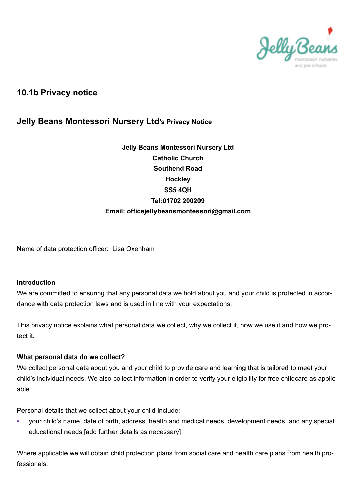

# **10.1b Privacy notice**

# **Jelly Beans Montessori Nursery Ltd's Privacy Notice**

# **Jelly Beans Montessori Nursery Ltd Catholic Church Southend Road Hockley SS5 4QH Tel:01702 200209 Email: officejellybeansmontessori@gmail.com**

**N**ame of data protection officer: Lisa Oxenham

#### **Introduction**

We are committed to ensuring that any personal data we hold about you and your child is protected in accordance with data protection laws and is used in line with your expectations.

This privacy notice explains what personal data we collect, why we collect it, how we use it and how we protect it.

#### **What personal data do we collect?**

We collect personal data about you and your child to provide care and learning that is tailored to meet your child's individual needs. We also collect information in order to verify your eligibility for free childcare as applicable.

Personal details that we collect about your child include:

your child's name, date of birth, address, health and medical needs, development needs, and any special educational needs [add further details as necessary]

Where applicable we will obtain child protection plans from social care and health care plans from health professionals.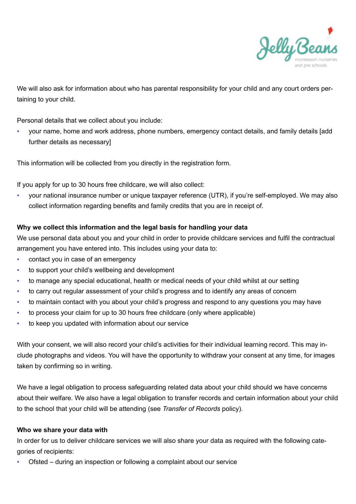

We will also ask for information about who has parental responsibility for your child and any court orders pertaining to your child.

Personal details that we collect about you include:

▪ your name, home and work address, phone numbers, emergency contact details, and family details [add further details as necessary]

This information will be collected from you directly in the registration form.

If you apply for up to 30 hours free childcare, we will also collect:

your national insurance number or unique taxpayer reference (UTR), if you're self-employed. We may also collect information regarding benefits and family credits that you are in receipt of.

#### **Why we collect this information and the legal basis for handling your data**

We use personal data about you and your child in order to provide childcare services and fulfil the contractual arrangement you have entered into. This includes using your data to:

- contact you in case of an emergency
- to support your child's wellbeing and development
- to manage any special educational, health or medical needs of your child whilst at our setting
- to carry out regular assessment of your child's progress and to identify any areas of concern
- to maintain contact with you about your child's progress and respond to any questions you may have
- to process your claim for up to 30 hours free childcare (only where applicable)
- to keep you updated with information about our service

With your consent, we will also record your child's activities for their individual learning record. This may include photographs and videos. You will have the opportunity to withdraw your consent at any time, for images taken by confirming so in writing.

We have a legal obligation to process safeguarding related data about your child should we have concerns about their welfare. We also have a legal obligation to transfer records and certain information about your child to the school that your child will be attending (see *Transfer of Records* policy).

#### **Who we share your data with**

In order for us to deliver childcare services we will also share your data as required with the following categories of recipients:

Ofsted – during an inspection or following a complaint about our service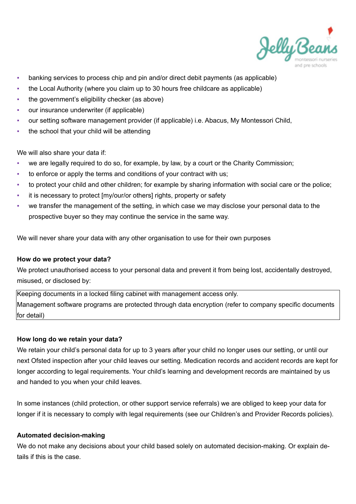

- banking services to process chip and pin and/or direct debit payments (as applicable)
- the Local Authority (where you claim up to 30 hours free childcare as applicable)
- the government's eligibility checker (as above)
- our insurance underwriter (if applicable)
- our setting software management provider (if applicable) i.e. Abacus, My Montessori Child,
- the school that your child will be attending

We will also share your data if:

- we are legally required to do so, for example, by law, by a court or the Charity Commission;
- to enforce or apply the terms and conditions of your contract with us;
- to protect your child and other children; for example by sharing information with social care or the police;
- it is necessary to protect [my/our/or others] rights, property or safety
- we transfer the management of the setting, in which case we may disclose your personal data to the prospective buyer so they may continue the service in the same way.

We will never share your data with any other organisation to use for their own purposes

## **How do we protect your data?**

We protect unauthorised access to your personal data and prevent it from being lost, accidentally destroyed, misused, or disclosed by:

Keeping documents in a locked filing cabinet with management access only. Management software programs are protected through data encryption (refer to company specific documents for detail)

## **How long do we retain your data?**

We retain your child's personal data for up to 3 years after your child no longer uses our setting, or until our next Ofsted inspection after your child leaves our setting. Medication records and accident records are kept for longer according to legal requirements. Your child's learning and development records are maintained by us and handed to you when your child leaves.

In some instances (child protection, or other support service referrals) we are obliged to keep your data for longer if it is necessary to comply with legal requirements (see our Children's and Provider Records policies).

## **Automated decision-making**

We do not make any decisions about your child based solely on automated decision-making. Or explain details if this is the case.